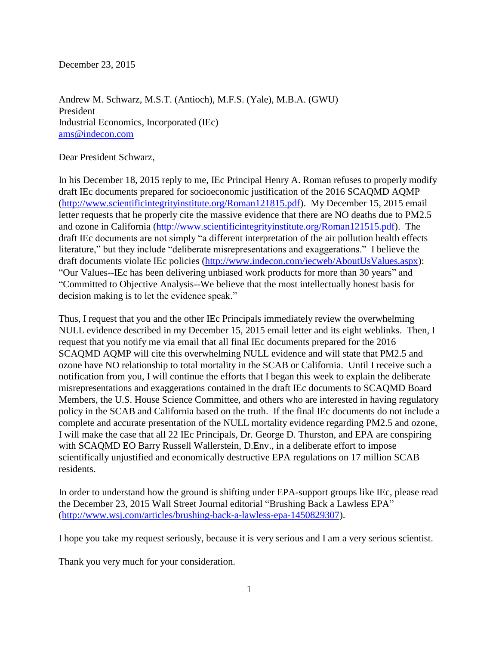December 23, 2015

Andrew M. Schwarz, M.S.T. (Antioch), M.F.S. (Yale), M.B.A. (GWU) President Industrial Economics, Incorporated (IEc) [ams@indecon.com](mailto:ams@indecon.com)

Dear President Schwarz,

In his December 18, 2015 reply to me, IEc Principal Henry A. Roman refuses to properly modify draft IEc documents prepared for socioeconomic justification of the 2016 SCAQMD AQMP [\(http://www.scientificintegrityinstitute.org/Roman121815.pdf\)](http://www.scientificintegrityinstitute.org/Roman121815.pdf). My December 15, 2015 email letter requests that he properly cite the massive evidence that there are NO deaths due to PM2.5 and ozone in California [\(http://www.scientificintegrityinstitute.org/Roman121515.pdf\)](http://www.scientificintegrityinstitute.org/Roman121515.pdf). The draft IEc documents are not simply "a different interpretation of the air pollution health effects literature," but they include "deliberate misrepresentations and exaggerations." I believe the draft documents violate IEc policies [\(http://www.indecon.com/iecweb/AboutUsValues.aspx\)](http://www.indecon.com/iecweb/AboutUsValues.aspx): "Our Values--IEc has been delivering unbiased work products for more than 30 years" and "Committed to Objective Analysis--We believe that the most intellectually honest basis for decision making is to let the evidence speak."

Thus, I request that you and the other IEc Principals immediately review the overwhelming NULL evidence described in my December 15, 2015 email letter and its eight weblinks. Then, I request that you notify me via email that all final IEc documents prepared for the 2016 SCAQMD AQMP will cite this overwhelming NULL evidence and will state that PM2.5 and ozone have NO relationship to total mortality in the SCAB or California. Until I receive such a notification from you, I will continue the efforts that I began this week to explain the deliberate misrepresentations and exaggerations contained in the draft IEc documents to SCAQMD Board Members, the U.S. House Science Committee, and others who are interested in having regulatory policy in the SCAB and California based on the truth. If the final IEc documents do not include a complete and accurate presentation of the NULL mortality evidence regarding PM2.5 and ozone, I will make the case that all 22 IEc Principals, Dr. George D. Thurston, and EPA are conspiring with SCAQMD EO Barry Russell Wallerstein, D.Env., in a deliberate effort to impose scientifically unjustified and economically destructive EPA regulations on 17 million SCAB residents.

In order to understand how the ground is shifting under EPA-support groups like IEc, please read the December 23, 2015 Wall Street Journal editorial "Brushing Back a Lawless EPA" [\(http://www.wsj.com/articles/brushing-back-a-lawless-epa-1450829307\)](http://www.wsj.com/articles/brushing-back-a-lawless-epa-1450829307).

I hope you take my request seriously, because it is very serious and I am a very serious scientist.

Thank you very much for your consideration.